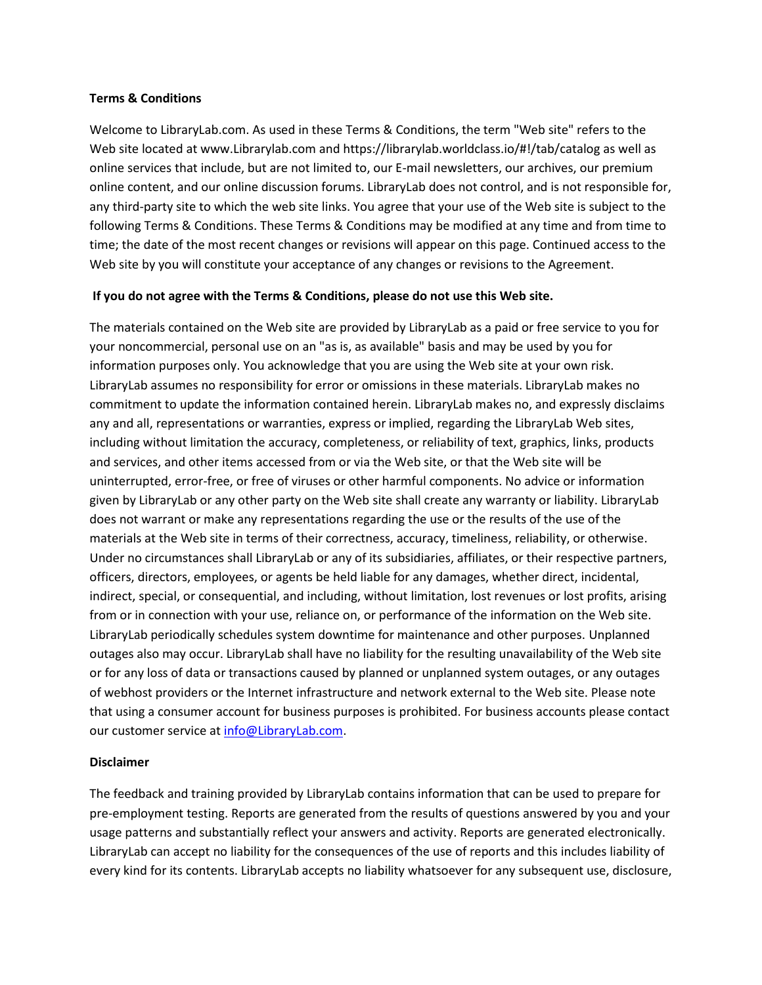## **Terms & Conditions**

Welcome to LibraryLab.com. As used in these Terms & Conditions, the term "Web site" refers to the Web site located at www.Librarylab.com and https://librarylab.worldclass.io/#!/tab/catalog as well as online services that include, but are not limited to, our E-mail newsletters, our archives, our premium online content, and our online discussion forums. LibraryLab does not control, and is not responsible for, any third-party site to which the web site links. You agree that your use of the Web site is subject to the following Terms & Conditions. These Terms & Conditions may be modified at any time and from time to time; the date of the most recent changes or revisions will appear on this page. Continued access to the Web site by you will constitute your acceptance of any changes or revisions to the Agreement.

## **If you do not agree with the Terms & Conditions, please do not use this Web site.**

The materials contained on the Web site are provided by LibraryLab as a paid or free service to you for your noncommercial, personal use on an "as is, as available" basis and may be used by you for information purposes only. You acknowledge that you are using the Web site at your own risk. LibraryLab assumes no responsibility for error or omissions in these materials. LibraryLab makes no commitment to update the information contained herein. LibraryLab makes no, and expressly disclaims any and all, representations or warranties, express or implied, regarding the LibraryLab Web sites, including without limitation the accuracy, completeness, or reliability of text, graphics, links, products and services, and other items accessed from or via the Web site, or that the Web site will be uninterrupted, error-free, or free of viruses or other harmful components. No advice or information given by LibraryLab or any other party on the Web site shall create any warranty or liability. LibraryLab does not warrant or make any representations regarding the use or the results of the use of the materials at the Web site in terms of their correctness, accuracy, timeliness, reliability, or otherwise. Under no circumstances shall LibraryLab or any of its subsidiaries, affiliates, or their respective partners, officers, directors, employees, or agents be held liable for any damages, whether direct, incidental, indirect, special, or consequential, and including, without limitation, lost revenues or lost profits, arising from or in connection with your use, reliance on, or performance of the information on the Web site. LibraryLab periodically schedules system downtime for maintenance and other purposes. Unplanned outages also may occur. LibraryLab shall have no liability for the resulting unavailability of the Web site or for any loss of data or transactions caused by planned or unplanned system outages, or any outages of webhost providers or the Internet infrastructure and network external to the Web site. Please note that using a consumer account for business purposes is prohibited. For business accounts please contact our customer service at [info@LibraryLab.com.](mailto:info@LibraryLab.com)

## **Disclaimer**

The feedback and training provided by LibraryLab contains information that can be used to prepare for pre-employment testing. Reports are generated from the results of questions answered by you and your usage patterns and substantially reflect your answers and activity. Reports are generated electronically. LibraryLab can accept no liability for the consequences of the use of reports and this includes liability of every kind for its contents. LibraryLab accepts no liability whatsoever for any subsequent use, disclosure,